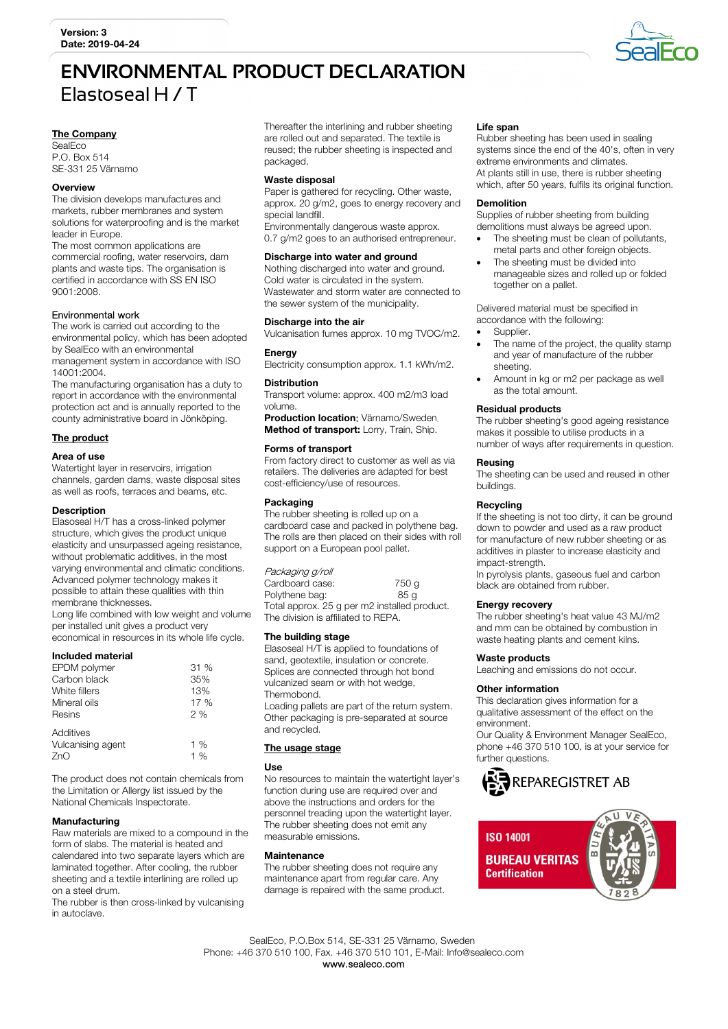# **ENVIRONMENTAL PRODUCT DECLARATION**  Elastoseal H / T

# The Company

**SealEco** P.O. Box 514 SE-331 25 Värnamo

#### **Overview**

The division develops manufactures and markets, rubber membranes and system solutions for waterproofing and is the market leader in Europe.

The most common applications are commercial roofing, water reservoirs, dam plants and waste tips. The organisation is certified in accordance with SS EN ISO 9001:2008.

#### Environmental work

The work is carried out according to the environmental policy, which has been adopted by SealEco with an environmental management system in accordance with ISO 14001:2004.

The manufacturing organisation has a duty to report in accordance with the environmental protection act and is annually reported to the county administrative board in Jönköping.

# The product

#### Area of use

Watertight layer in reservoirs, irrigation channels, garden dams, waste disposal sites as well as roofs, terraces and beams, etc.

### **Description**

Elasoseal H/T has a cross-linked polymer structure, which gives the product unique elasticity and unsurpassed ageing resistance, without problematic additives, in the most varying environmental and climatic conditions. Advanced polymer technology makes it possible to attain these qualities with thin membrane thicknesses.

Long life combined with low weight and volume per installed unit gives a product very economical in resources in its whole life cycle.

#### Included material

| EPDM polymer                   | 31 % |
|--------------------------------|------|
| Carbon black                   | 35%  |
| White fillers                  | 13%  |
| Mineral oils                   | 17 % |
| Resins                         | 2%   |
| Additives<br>Vulcanising agent | 1%   |
| ZnO                            | 1%   |

The product does not contain chemicals from the Limitation or Allergy list issued by the National Chemicals Inspectorate.

#### Manufacturing

Raw materials are mixed to a compound in the form of slabs. The material is heated and calendared into two separate layers which are laminated together. After cooling, the rubber sheeting and a textile interlining are rolled up on a steel drum.

The rubber is then cross-linked by vulcanising in autoclave.

Thereafter the interlining and rubber sheeting are rolled out and separated. The textile is reused; the rubber sheeting is inspected and packaged.

## Waste disposal

Paper is gathered for recycling. Other waste, approx. 20 g/m2, goes to energy recovery and special landfill. Environmentally dangerous waste approx.

0.7 g/m2 goes to an authorised entrepreneur.

#### Discharge into water and ground

Nothing discharged into water and ground. Cold water is circulated in the system. Wastewater and storm water are connected to the sewer system of the municipality.

#### Discharge into the air

Vulcanisation fumes approx. 10 mg TVOC/m2.

#### **Energy**

Electricity consumption approx. 1.1 kWh/m2.

#### **Distribution**

Transport volume: approx. 400 m2/m3 load volume.

Production location: Värnamo/Sweden. Method of transport: Lorry, Train, Ship.

#### Forms of transport

From factory direct to customer as well as via retailers. The deliveries are adapted for best cost-efficiency/use of resources.

#### Packaging

The rubber sheeting is rolled up on a cardboard case and packed in polythene bag. The rolls are then placed on their sides with roll support on a European pool pallet.

Packaging g/roll Cardboard case: 750 g<br>
Polythene bag: 85 g Polythene bag: Total approx. 25 g per m2 installed product. The division is affiliated to REPA.

## The building stage

Elasoseal H/T is applied to foundations of sand, geotextile, insulation or concrete. Splices are connected through hot bond vulcanized seam or with hot wedge, **Thermobond** 

Loading pallets are part of the return system. Other packaging is pre-separated at source and recycled.

# The usage stage

## Use

No resources to maintain the watertight layer's function during use are required over and above the instructions and orders for the personnel treading upon the watertight layer. The rubber sheeting does not emit any measurable emissions.

### **Maintenance**

The rubber sheeting does not require any maintenance apart from regular care. Any damage is repaired with the same product.

#### Life span

Rubber sheeting has been used in sealing systems since the end of the 40's, often in very extreme environments and climates. At plants still in use, there is rubber sheeting which, after 50 years, fulfils its original function.

### Demolition

Supplies of rubber sheeting from building demolitions must always be agreed upon.

- The sheeting must be clean of pollutants, metal parts and other foreign objects.
- The sheeting must be divided into manageable sizes and rolled up or folded together on a pallet.

Delivered material must be specified in accordance with the following:

- Supplier.
- The name of the project, the quality stamp and year of manufacture of the rubber sheeting.
- Amount in kg or m2 per package as well as the total amount.

# Residual products

The rubber sheeting's good ageing resistance makes it possible to utilise products in a number of ways after requirements in question.

# Reusing

The sheeting can be used and reused in other buildings.

# Recycling

If the sheeting is not too dirty, it can be ground down to powder and used as a raw product for manufacture of new rubber sheeting or as additives in plaster to increase elasticity and impact-strength.

In pyrolysis plants, gaseous fuel and carbon black are obtained from rubber.

#### Energy recovery

The rubber sheeting's heat value 43 MJ/m2 and mm can be obtained by combustion in waste heating plants and cement kilns.

#### Waste products

Leaching and emissions do not occur.

# Other information

This declaration gives information for a qualitative assessment of the effect on the environment.

Our Quality & Environment Manager SealEco, phone +46 370 510 100, is at your service for further questions.





 SealEco, P.O.Box 514, SE-331 25 Värnamo, Sweden Phone: +46 370 510 100, Fax. +46 370 510 101, E-Mail: Info@sealeco.com www.sealeco.com